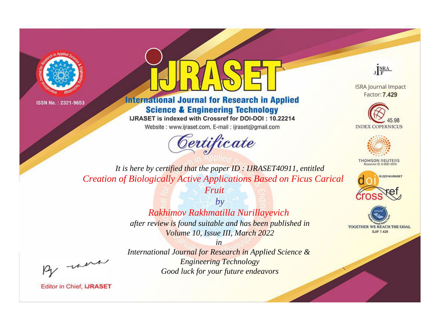



**International Journal for Research in Applied Science & Engineering Technology** 

IJRASET is indexed with Crossref for DOI-DOI: 10.22214

Website: www.ijraset.com, E-mail: ijraset@gmail.com





**ISRA Journal Impact** Factor: 7.429





**THOMSON REUTERS** 



TOGETHER WE REACH THE GOAL **SJIF 7.429** 

*It is here by certified that the paper ID : IJRASET40911, entitled Creation of Biologically Active Applications Based on Ficus Carical* 

> *by Rakhimov Rakhmatilla Nurillayevich after review is found suitable and has been published in Volume 10, Issue III, March 2022*

*Fruit*

, un

*International Journal for Research in Applied Science & Engineering Technology Good luck for your future endeavors*

*in*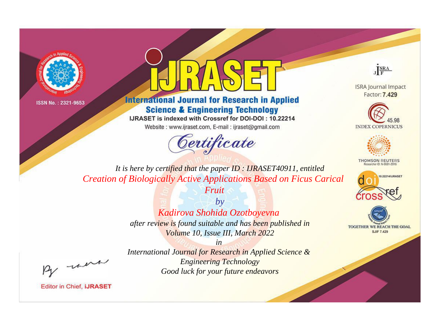



**International Journal for Research in Applied Science & Engineering Technology** 

IJRASET is indexed with Crossref for DOI-DOI: 10.22214

Website: www.ijraset.com, E-mail: ijraset@gmail.com





**ISRA Journal Impact** Factor: 7.429





**THOMSON REUTERS** 



TOGETHER WE REACH THE GOAL **SJIF 7.429** 

*It is here by certified that the paper ID : IJRASET40911, entitled Creation of Biologically Active Applications Based on Ficus Carical* 

> *by Kadirova Shohida Ozotboyevna after review is found suitable and has been published in Volume 10, Issue III, March 2022*

*Fruit*

, un

*International Journal for Research in Applied Science & Engineering Technology Good luck for your future endeavors*

*in*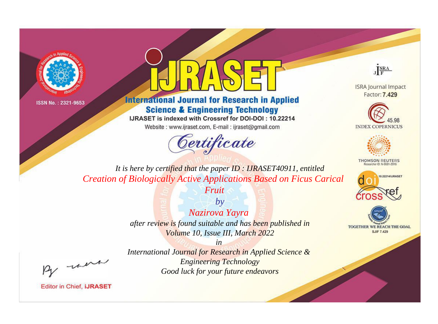



**International Journal for Research in Applied Science & Engineering Technology** 

IJRASET is indexed with Crossref for DOI-DOI: 10.22214

Website: www.ijraset.com, E-mail: ijraset@gmail.com





**ISRA Journal Impact** Factor: 7.429





**THOMSON REUTERS** 



TOGETHER WE REACH THE GOAL **SJIF 7.429** 

*It is here by certified that the paper ID : IJRASET40911, entitled Creation of Biologically Active Applications Based on Ficus Carical* 

*Fruit*

*by Nazirova Yayra after review is found suitable and has been published in Volume 10, Issue III, March 2022*

, un

*International Journal for Research in Applied Science & Engineering Technology Good luck for your future endeavors*

*in*